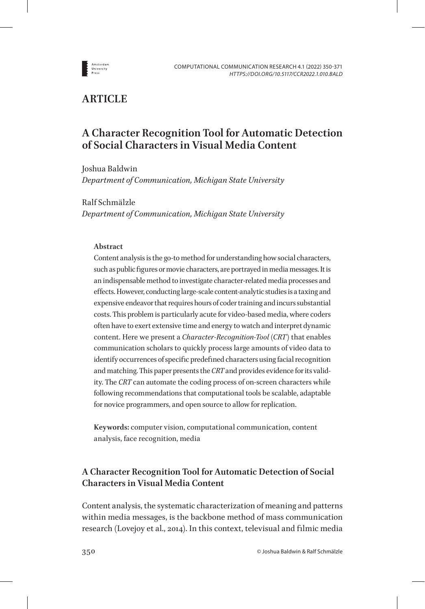

# **ARTICLE**

# **A Character Recognition Tool for Automatic Detection of Social Characters in Visual Media Content**

Joshua Baldwin

*Department of Communication, Michigan State University*

Ralf Schmälzle

*Department of Communication, Michigan State University*

### **Abstract**

Content analysis is the go-to method for understanding how social characters, such as public figures or movie characters, are portrayed in media messages. It is an indispensable method to investigate character-related media processes and effects. However, conducting large-scale content-analytic studies is a taxing and expensive endeavor that requires hours of coder training and incurs substantial costs. This problem is particularly acute for video-based media, where coders often have to exert extensive time and energy to watch and interpret dynamic content. Here we present a *Character-Recognition-Tool* (*CRT*) that enables communication scholars to quickly process large amounts of video data to identify occurrences of specific predefined characters using facial recognition and matching. This paper presents the *CRT* and provides evidence for its validity. The *CRT* can automate the coding process of on-screen characters while following recommendations that computational tools be scalable, adaptable for novice programmers, and open source to allow for replication.

**Keywords:** computer vision, computational communication, content analysis, face recognition, media

# **A Character Recognition Tool for Automatic Detection of Social Characters in Visual Media Content**

Content analysis, the systematic characterization of meaning and patterns within media messages, is the backbone method of mass communication research (Lovejoy et al., 2014). In this context, televisual and filmic media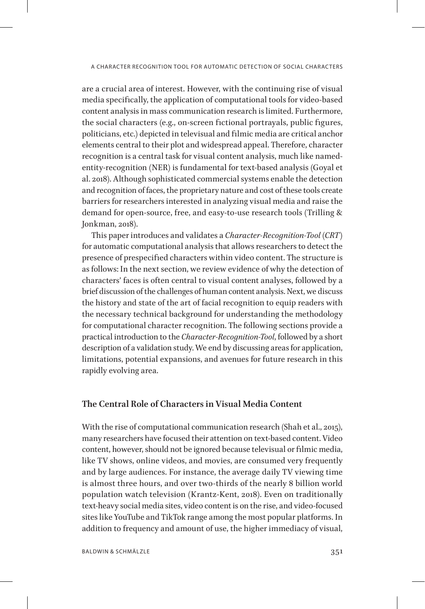are a crucial area of interest. However, with the continuing rise of visual media specifically, the application of computational tools for video-based content analysis in mass communication research is limited. Furthermore, the social characters (e.g., on-screen fictional portrayals, public figures, politicians, etc.) depicted in televisual and filmic media are critical anchor elements central to their plot and widespread appeal. Therefore, character recognition is a central task for visual content analysis, much like namedentity-recognition (NER) is fundamental for text-based analysis (Goyal et al. 2018). Although sophisticated commercial systems enable the detection and recognition of faces, the proprietary nature and cost of these tools create barriers for researchers interested in analyzing visual media and raise the demand for open-source, free, and easy-to-use research tools (Trilling & Jonkman, 2018).

This paper introduces and validates a *Character-Recognition-Tool* (*CRT*) for automatic computational analysis that allows researchers to detect the presence of prespecified characters within video content. The structure is as follows: In the next section, we review evidence of why the detection of characters' faces is often central to visual content analyses, followed by a brief discussion of the challenges of human content analysis. Next, we discuss the history and state of the art of facial recognition to equip readers with the necessary technical background for understanding the methodology for computational character recognition. The following sections provide a practical introduction to the *Character-Recognition-Tool*, followed by a short description of a validation study. We end by discussing areas for application, limitations, potential expansions, and avenues for future research in this rapidly evolving area.

# **The Central Role of Characters in Visual Media Content**

With the rise of computational communication research (Shah et al., 2015), many researchers have focused their attention on text-based content. Video content, however, should not be ignored because televisual or filmic media, like TV shows, online videos, and movies, are consumed very frequently and by large audiences. For instance, the average daily TV viewing time is almost three hours, and over two-thirds of the nearly 8 billion world population watch television (Krantz-Kent, 2018). Even on traditionally text-heavy social media sites, video content is on the rise, and video-focused sites like YouTube and TikTok range among the most popular platforms. In addition to frequency and amount of use, the higher immediacy of visual,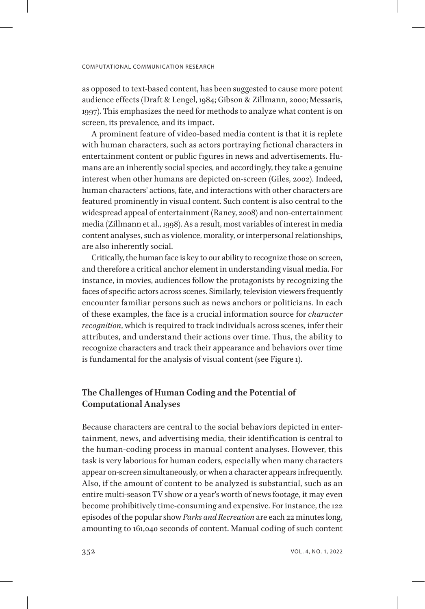as opposed to text-based content, has been suggested to cause more potent audience effects (Draft & Lengel, 1984; Gibson & Zillmann, 2000; Messaris, 1997). This emphasizes the need for methods to analyze what content is on screen, its prevalence, and its impact.

A prominent feature of video-based media content is that it is replete with human characters, such as actors portraying fictional characters in entertainment content or public figures in news and advertisements. Humans are an inherently social species, and accordingly, they take a genuine interest when other humans are depicted on-screen (Giles, 2002). Indeed, human characters' actions, fate, and interactions with other characters are featured prominently in visual content. Such content is also central to the widespread appeal of entertainment (Raney, 2008) and non-entertainment media (Zillmann et al., 1998). As a result, most variables of interest in media content analyses, such as violence, morality, or interpersonal relationships, are also inherently social.

Critically, the human face is key to our ability to recognize those on screen, and therefore a critical anchor element in understanding visual media. For instance, in movies, audiences follow the protagonists by recognizing the faces of specific actors across scenes. Similarly, television viewers frequently encounter familiar persons such as news anchors or politicians. In each of these examples, the face is a crucial information source for *character recognition*, which is required to track individuals across scenes, infer their attributes, and understand their actions over time. Thus, the ability to recognize characters and track their appearance and behaviors over time is fundamental for the analysis of visual content (see Figure 1).

# **The Challenges of Human Coding and the Potential of Computational Analyses**

Because characters are central to the social behaviors depicted in entertainment, news, and advertising media, their identification is central to the human-coding process in manual content analyses. However, this task is very laborious for human coders, especially when many characters appear on-screen simultaneously, or when a character appears infrequently. Also, if the amount of content to be analyzed is substantial, such as an entire multi-season TV show or a year's worth of news footage, it may even become prohibitively time-consuming and expensive. For instance, the 122 episodes of the popular show *Parks and Recreation* are each 22 minutes long, amounting to 161,040 seconds of content. Manual coding of such content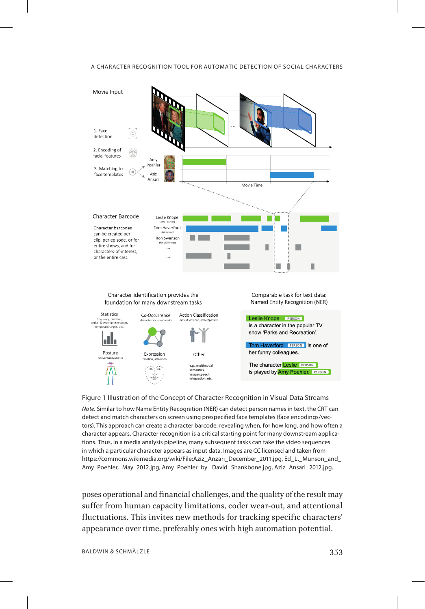### A CHARACTER RECOGNITION TOOL FOR AUTOMATIC DETECTION OF SOCIAL CHARACTERS



#### Figure 1 Illustration of the Concept of Character Recognition in Visual Data Streams

*Note.* Similar to how Name Entity Recognition (NER) can detect person names in text, the CRT can detect and match characters on screen using prespecified face templates (face encodings/vectors). This approach can create a character barcode, revealing when, for how long, and how often a character appears. Character recognition is a critical starting point for many downstream applications. Thus, in a media analysis pipeline, many subsequent tasks can take the video sequences in which a particular character appears as input data. Images are CC licensed and taken from https://commons.wikimedia.org/wiki/File:Aziz\_Anzari\_December\_2011.jpg, Ed\_L.\_Munson\_and\_ Amy\_Poehler,\_May\_2012.jpg, Amy\_Poehler\_by \_David\_Shankbone.jpg, Aziz\_Ansari\_2012.jpg.

poses operational and financial challenges, and the quality of the result may suffer from human capacity limitations, coder wear-out, and attentional fluctuations. This invites new methods for tracking specific characters' appearance over time, preferably ones with high automation potential.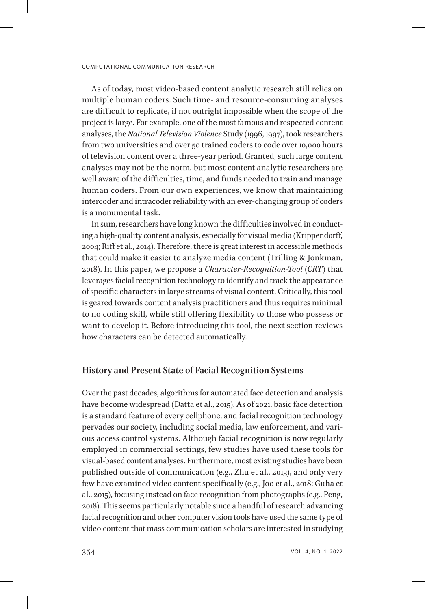As of today, most video-based content analytic research still relies on multiple human coders. Such time- and resource-consuming analyses are difficult to replicate, if not outright impossible when the scope of the project is large. For example, one of the most famous and respected content analyses, the *National Television Violence* Study (1996, 1997), took researchers from two universities and over 50 trained coders to code over 10,000 hours of television content over a three-year period. Granted, such large content analyses may not be the norm, but most content analytic researchers are well aware of the difficulties, time, and funds needed to train and manage human coders. From our own experiences, we know that maintaining intercoder and intracoder reliability with an ever-changing group of coders is a monumental task.

In sum, researchers have long known the difficulties involved in conducting a high-quality content analysis, especially for visual media (Krippendorff, 2004; Riff et al., 2014). Therefore, there is great interest in accessible methods that could make it easier to analyze media content (Trilling & Jonkman, 2018). In this paper, we propose a *Character-Recognition-Tool* (*CRT*) that leverages facial recognition technology to identify and track the appearance of specific characters in large streams of visual content. Critically, this tool is geared towards content analysis practitioners and thus requires minimal to no coding skill, while still offering flexibility to those who possess or want to develop it. Before introducing this tool, the next section reviews how characters can be detected automatically.

# **History and Present State of Facial Recognition Systems**

Over the past decades, algorithms for automated face detection and analysis have become widespread (Datta et al., 2015). As of 2021, basic face detection is a standard feature of every cellphone, and facial recognition technology pervades our society, including social media, law enforcement, and various access control systems. Although facial recognition is now regularly employed in commercial settings, few studies have used these tools for visual-based content analyses. Furthermore, most existing studies have been published outside of communication (e.g., Zhu et al., 2013), and only very few have examined video content specifically (e.g., Joo et al., 2018; Guha et al., 2015), focusing instead on face recognition from photographs (e.g., Peng, 2018). This seems particularly notable since a handful of research advancing facial recognition and other computer vision tools have used the same type of video content that mass communication scholars are interested in studying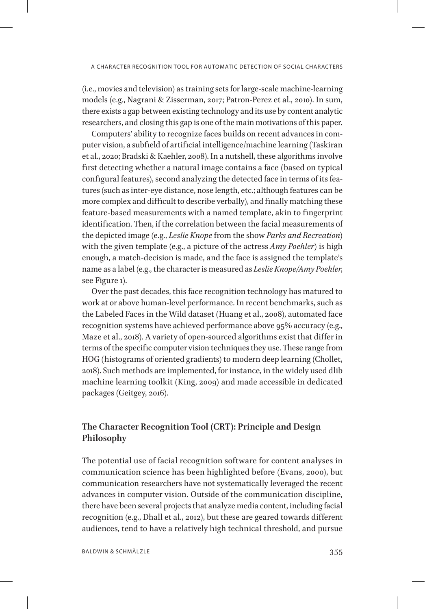(i.e., movies and television) as training sets for large-scale machine-learning models (e.g., Nagrani & Zisserman, 2017; Patron-Perez et al., 2010). In sum, there exists a gap between existing technology and its use by content analytic researchers, and closing this gap is one of the main motivations of this paper.

Computers' ability to recognize faces builds on recent advances in computer vision, a subfield of artificial intelligence/machine learning (Taskiran et al., 2020; Bradski & Kaehler, 2008). In a nutshell, these algorithms involve first detecting whether a natural image contains a face (based on typical configural features), second analyzing the detected face in terms of its features (such as inter-eye distance, nose length, etc.; although features can be more complex and difficult to describe verbally), and finally matching these feature-based measurements with a named template, akin to fingerprint identification. Then, if the correlation between the facial measurements of the depicted image (e.g., *Leslie Knope* from the show *Parks and Recreation*) with the given template (e.g., a picture of the actress *Amy Poehler*) is high enough, a match-decision is made, and the face is assigned the template's name as a label (e.g., the character is measured as *Leslie Knope/Amy Poehler*, see Figure 1).

Over the past decades, this face recognition technology has matured to work at or above human-level performance. In recent benchmarks, such as the Labeled Faces in the Wild dataset (Huang et al., 2008), automated face recognition systems have achieved performance above 95% accuracy (e.g., Maze et al., 2018). A variety of open-sourced algorithms exist that differ in terms of the specific computer vision techniques they use. These range from HOG (histograms of oriented gradients) to modern deep learning (Chollet, 2018). Such methods are implemented, for instance, in the widely used dlib machine learning toolkit (King, 2009) and made accessible in dedicated packages (Geitgey, 2016).

# **The Character Recognition Tool (CRT): Principle and Design Philosophy**

The potential use of facial recognition software for content analyses in communication science has been highlighted before (Evans, 2000), but communication researchers have not systematically leveraged the recent advances in computer vision. Outside of the communication discipline, there have been several projects that analyze media content, including facial recognition (e.g., Dhall et al., 2012), but these are geared towards different audiences, tend to have a relatively high technical threshold, and pursue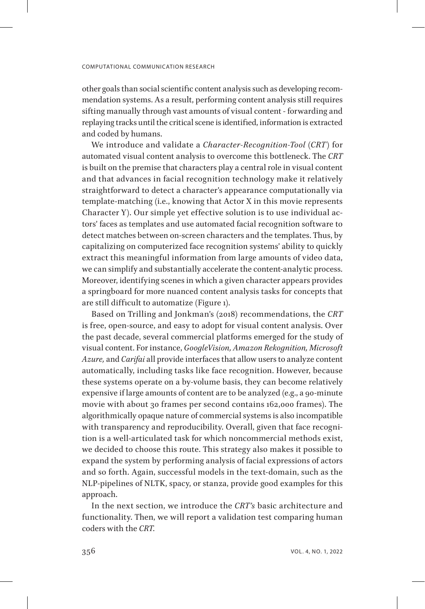other goals than social scientific content analysis such as developing recommendation systems. As a result, performing content analysis still requires sifting manually through vast amounts of visual content - forwarding and replaying tracks until the critical scene is identified, information is extracted and coded by humans.

We introduce and validate a *Character-Recognition-Tool* (*CRT*) for automated visual content analysis to overcome this bottleneck. The *CRT* is built on the premise that characters play a central role in visual content and that advances in facial recognition technology make it relatively straightforward to detect a character's appearance computationally via template-matching (i.e., knowing that Actor X in this movie represents Character Y). Our simple yet effective solution is to use individual actors' faces as templates and use automated facial recognition software to detect matches between on-screen characters and the templates. Thus, by capitalizing on computerized face recognition systems' ability to quickly extract this meaningful information from large amounts of video data, we can simplify and substantially accelerate the content-analytic process. Moreover, identifying scenes in which a given character appears provides a springboard for more nuanced content analysis tasks for concepts that are still difficult to automatize (Figure 1).

Based on Trilling and Jonkman's (2018) recommendations, the *CRT* is free, open-source, and easy to adopt for visual content analysis. Over the past decade, several commercial platforms emerged for the study of visual content. For instance, *GoogleVision, Amazon Rekognition, Microsoft Azure,* and *Carifai* all provide interfaces that allow users to analyze content automatically, including tasks like face recognition. However, because these systems operate on a by-volume basis, they can become relatively expensive if large amounts of content are to be analyzed (e.g., a 90-minute movie with about 30 frames per second contains 162,000 frames). The algorithmically opaque nature of commercial systems is also incompatible with transparency and reproducibility. Overall, given that face recognition is a well-articulated task for which noncommercial methods exist, we decided to choose this route. This strategy also makes it possible to expand the system by performing analysis of facial expressions of actors and so forth. Again, successful models in the text-domain, such as the NLP-pipelines of NLTK, spacy, or stanza, provide good examples for this approach.

In the next section, we introduce the *CRT's* basic architecture and functionality. Then, we will report a validation test comparing human coders with the *CRT*.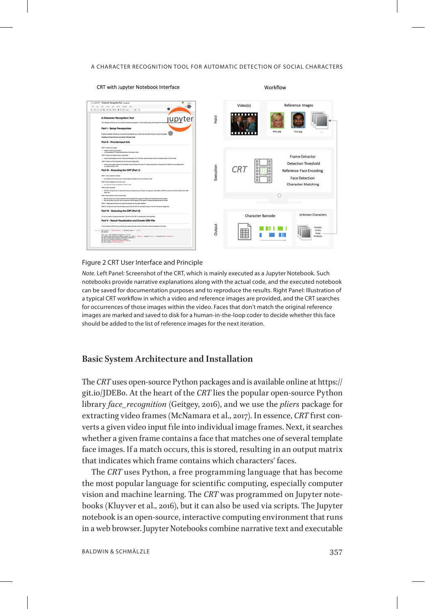#### A CHARACTER RECOGNITION TOOL FOR AUTOMATIC DETECTION OF SOCIAL CHARACTERS



### Figure 2 CRT User Interface and Principle

*Note.* Left Panel: Screenshot of the CRT, which is mainly executed as a Jupyter Notebook. Such notebooks provide narrative explanations along with the actual code, and the executed notebook can be saved for documentation purposes and to reproduce the results. Right Panel: Illustration of a typical CRT workflow in which a video and reference images are provided, and the CRT searches for occurrences of those images within the video. Faces that don't match the original reference images are marked and saved to disk for a human-in-the-loop coder to decide whether this face should be added to the list of reference images for the next iteration.

# **Basic System Architecture and Installation**

The *CRT* uses open-source Python packages and is available online at https:// git.io/JDEB0. At the heart of the *CRT* lies the popular open-source Python library *face\_recognition* (Geitgey, 2016), and we use the *pliers* package for extracting video frames (McNamara et al., 2017). In essence, *CRT* first converts a given video input file into individual image frames. Next, it searches whether a given frame contains a face that matches one of several template face images. If a match occurs, this is stored, resulting in an output matrix that indicates which frame contains which characters' faces.

The *CRT* uses Python, a free programming language that has become the most popular language for scientific computing, especially computer vision and machine learning. The *CRT* was programmed on Jupyter notebooks (Kluyver et al., 2016), but it can also be used via scripts. The Jupyter notebook is an open-source, interactive computing environment that runs in a web browser. Jupyter Notebooks combine narrative text and executable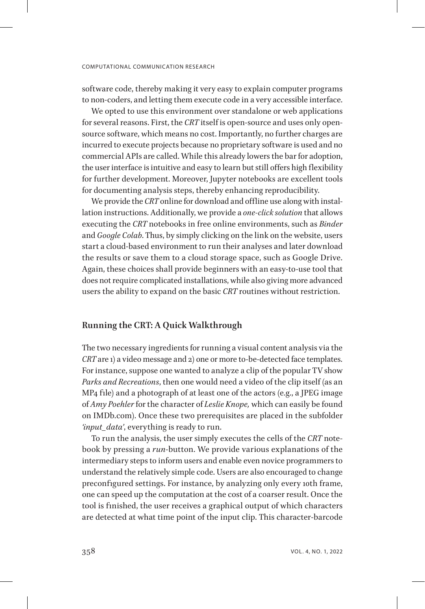software code, thereby making it very easy to explain computer programs to non-coders, and letting them execute code in a very accessible interface.

We opted to use this environment over standalone or web applications for several reasons. First, the *CRT* itself is open-source and uses only opensource software, which means no cost. Importantly, no further charges are incurred to execute projects because no proprietary software is used and no commercial APIs are called. While this already lowers the bar for adoption, the user interface is intuitive and easy to learn but still offers high flexibility for further development. Moreover, Jupyter notebooks are excellent tools for documenting analysis steps, thereby enhancing reproducibility.

We provide the *CRT* online for download and offline use along with installation instructions. Additionally, we provide a *one-click solution* that allows executing the *CRT* notebooks in free online environments, such as *Binder* and *Google Colab*. Thus, by simply clicking on the link on the website, users start a cloud-based environment to run their analyses and later download the results or save them to a cloud storage space, such as Google Drive. Again, these choices shall provide beginners with an easy-to-use tool that does not require complicated installations, while also giving more advanced users the ability to expand on the basic *CRT* routines without restriction.

# **Running the CRT: A Quick Walkthrough**

The two necessary ingredients for running a visual content analysis via the *CRT* are 1) a video message and 2) one or more to-be-detected face templates. For instance, suppose one wanted to analyze a clip of the popular TV show *Parks and Recreations*, then one would need a video of the clip itself (as an MP4 file) and a photograph of at least one of the actors (e.g., a JPEG image of *Amy Poehler* for the character of *Leslie Knope,* which can easily be found on IMDb.com). Once these two prerequisites are placed in the subfolder *'input\_data'*, everything is ready to run.

To run the analysis, the user simply executes the cells of the *CRT* notebook by pressing a *run*-button. We provide various explanations of the intermediary steps to inform users and enable even novice programmers to understand the relatively simple code. Users are also encouraged to change preconfigured settings. For instance, by analyzing only every 10th frame, one can speed up the computation at the cost of a coarser result. Once the tool is finished, the user receives a graphical output of which characters are detected at what time point of the input clip. This character-barcode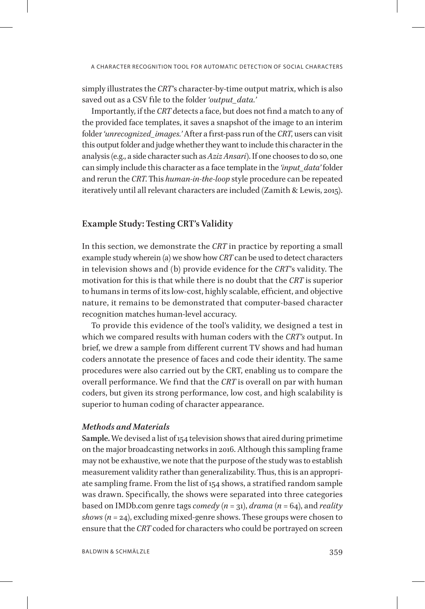simply illustrates the *CRT*'s character-by-time output matrix, which is also saved out as a CSV file to the folder *'output\_data.'*

Importantly, if the *CRT* detects a face, but does not find a match to any of the provided face templates, it saves a snapshot of the image to an interim folder *'unrecognized\_images.'* After a first-pass run of the *CRT*, users can visit this output folder and judge whether they want to include this character in the analysis (e.g., a side character such as *Aziz Ansari*). If one chooses to do so, one can simply include this character as a face template in the *'input\_data'* folder and rerun the *CRT*. This *human-in-the-loop* style procedure can be repeated iteratively until all relevant characters are included (Zamith & Lewis, 2015).

# **Example Study: Testing CRT's Validity**

In this section, we demonstrate the *CRT* in practice by reporting a small example study wherein (a) we show how *CRT* can be used to detect characters in television shows and (b) provide evidence for the *CRT*'s validity. The motivation for this is that while there is no doubt that the *CRT* is superior to humans in terms of its low-cost, highly scalable, efficient, and objective nature, it remains to be demonstrated that computer-based character recognition matches human-level accuracy.

To provide this evidence of the tool's validity, we designed a test in which we compared results with human coders with the *CRT's* output. In brief, we drew a sample from different current TV shows and had human coders annotate the presence of faces and code their identity. The same procedures were also carried out by the CRT, enabling us to compare the overall performance. We find that the *CRT* is overall on par with human coders, but given its strong performance, low cost, and high scalability is superior to human coding of character appearance.

# *Methods and Materials*

**Sample.** We devised a list of 154 television shows that aired during primetime on the major broadcasting networks in 2016. Although this sampling frame may not be exhaustive, we note that the purpose of the study was to establish measurement validity rather than generalizability. Thus, this is an appropriate sampling frame. From the list of 154 shows, a stratified random sample was drawn. Specifically, the shows were separated into three categories based on IMDb.com genre tags *comedy* (*n* = 31), *drama* (*n* = 64), and *reality shows* (*n* = 24), excluding mixed-genre shows. These groups were chosen to ensure that the *CRT* coded for characters who could be portrayed on screen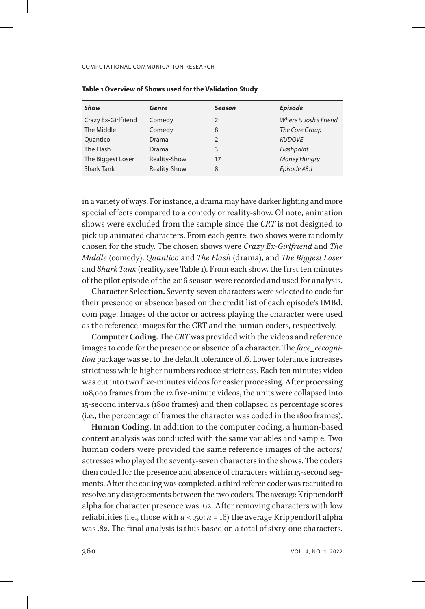| Show                | Genre        | <b>Season</b> | <b>Episode</b>         |
|---------------------|--------------|---------------|------------------------|
| Crazy Ex-Girlfriend | Comedy       | $\mathcal{P}$ | Where is Josh's Friend |
| The Middle          | Comedy       | 8             | The Core Group         |
| Ouantico            | Drama        | $\mathcal{P}$ | <b>KUDOVE</b>          |
| The Flash           | Drama        | 3             | Flashpoint             |
| The Biggest Loser   | Reality-Show | 17            | <b>Money Hungry</b>    |
| <b>Shark Tank</b>   | Reality-Show | 8             | Episode #8.1           |

| Table 1 Overview of Shows used for the Validation Study |  |  |  |  |
|---------------------------------------------------------|--|--|--|--|
|---------------------------------------------------------|--|--|--|--|

in a variety of ways. For instance, a drama may have darker lighting and more special effects compared to a comedy or reality-show. Of note, animation shows were excluded from the sample since the *CRT* is not designed to pick up animated characters. From each genre, two shows were randomly chosen for the study. The chosen shows were *Crazy Ex-Girlfriend* and *The Middle* (comedy), *Quantico* and *The Flash* (drama), and *The Biggest Loser* and *Shark Tank* (reality*;* see Table 1). From each show, the first ten minutes of the pilot episode of the 2016 season were recorded and used for analysis.

**Character Selection.** Seventy-seven characters were selected to code for their presence or absence based on the credit list of each episode's IMBd. com page. Images of the actor or actress playing the character were used as the reference images for the CRT and the human coders, respectively.

**Computer Coding.** The *CRT* was provided with the videos and reference images to code for the presence or absence of a character. The *face\_recognition* package was set to the default tolerance of .6. Lower tolerance increases strictness while higher numbers reduce strictness. Each ten minutes video was cut into two five-minutes videos for easier processing. After processing 108,000 frames from the 12 five-minute videos, the units were collapsed into 15-second intervals (1800 frames) and then collapsed as percentage scores (i.e., the percentage of frames the character was coded in the 1800 frames).

**Human Coding.** In addition to the computer coding, a human-based content analysis was conducted with the same variables and sample. Two human coders were provided the same reference images of the actors/ actresses who played the seventy-seven characters in the shows. The coders then coded for the presence and absence of characters within 15-second segments. After the coding was completed, a third referee coder was recruited to resolve any disagreements between the two coders. The average Krippendorff alpha for character presence was .62. After removing characters with low reliabilities (i.e., those with  $a < .50$ ;  $n = 16$ ) the average Krippendorff alpha was .82. The final analysis is thus based on a total of sixty-one characters.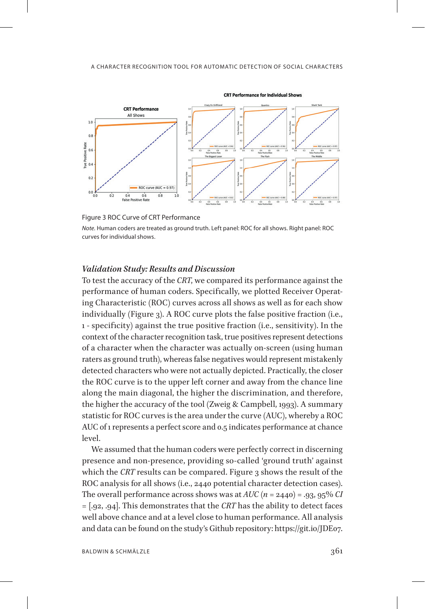

Figure 3 ROC Curve of CRT Performance

*Note.* Human coders are treated as ground truth. Left panel: ROC for all shows. Right panel: ROC curves for individual shows.

## *Validation Study: Results and Discussion*

To test the accuracy of the *CRT*, we compared its performance against the performance of human coders. Specifically, we plotted Receiver Operating Characteristic (ROC) curves across all shows as well as for each show individually (Figure 3). A ROC curve plots the false positive fraction (i.e., 1 - specificity) against the true positive fraction (i.e., sensitivity). In the context of the character recognition task, true positives represent detections of a character when the character was actually on-screen (using human raters as ground truth), whereas false negatives would represent mistakenly detected characters who were not actually depicted. Practically, the closer the ROC curve is to the upper left corner and away from the chance line along the main diagonal, the higher the discrimination, and therefore, the higher the accuracy of the tool (Zweig & Campbell, 1993). A summary statistic for ROC curves is the area under the curve (AUC), whereby a ROC AUC of 1 represents a perfect score and 0.5 indicates performance at chance level.

We assumed that the human coders were perfectly correct in discerning presence and non-presence, providing so-called 'ground truth' against which the *CRT* results can be compared. Figure 3 shows the result of the ROC analysis for all shows (i.e., 2440 potential character detection cases). The overall performance across shows was at *AUC* (*n* = 2440) = .93, 95% *CI* = [.92, .94]. This demonstrates that the *CRT* has the ability to detect faces well above chance and at a level close to human performance. All analysis and data can be found on the study's Github repository: https://git.io/JDE07.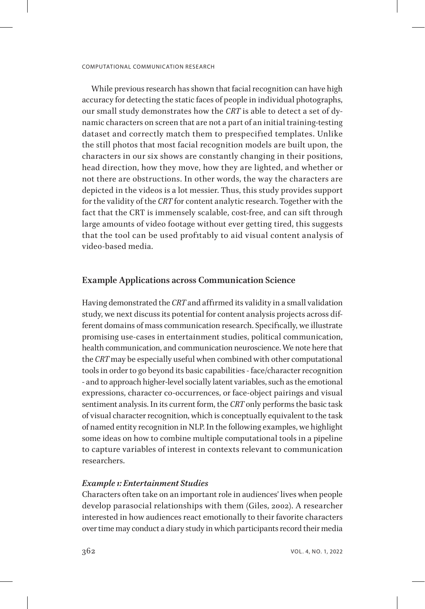While previous research has shown that facial recognition can have high accuracy for detecting the static faces of people in individual photographs, our small study demonstrates how the *CRT* is able to detect a set of dynamic characters on screen that are not a part of an initial training-testing dataset and correctly match them to prespecified templates. Unlike the still photos that most facial recognition models are built upon, the characters in our six shows are constantly changing in their positions, head direction, how they move, how they are lighted, and whether or not there are obstructions. In other words, the way the characters are depicted in the videos is a lot messier. Thus, this study provides support for the validity of the *CRT* for content analytic research. Together with the fact that the CRT is immensely scalable, cost-free, and can sift through large amounts of video footage without ever getting tired, this suggests that the tool can be used profitably to aid visual content analysis of video-based media.

## **Example Applications across Communication Science**

Having demonstrated the *CRT* and affirmed its validity in a small validation study, we next discuss its potential for content analysis projects across different domains of mass communication research. Specifically, we illustrate promising use-cases in entertainment studies, political communication, health communication, and communication neuroscience. We note here that the *CRT* may be especially useful when combined with other computational tools in order to go beyond its basic capabilities - face/character recognition - and to approach higher-level socially latent variables, such as the emotional expressions, character co-occurrences, or face-object pairings and visual sentiment analysis. In its current form, the *CRT* only performs the basic task of visual character recognition, which is conceptually equivalent to the task of named entity recognition in NLP. In the following examples, we highlight some ideas on how to combine multiple computational tools in a pipeline to capture variables of interest in contexts relevant to communication researchers.

# *Example 1: Entertainment Studies*

Characters often take on an important role in audiences' lives when people develop parasocial relationships with them (Giles, 2002). A researcher interested in how audiences react emotionally to their favorite characters over time may conduct a diary study in which participants record their media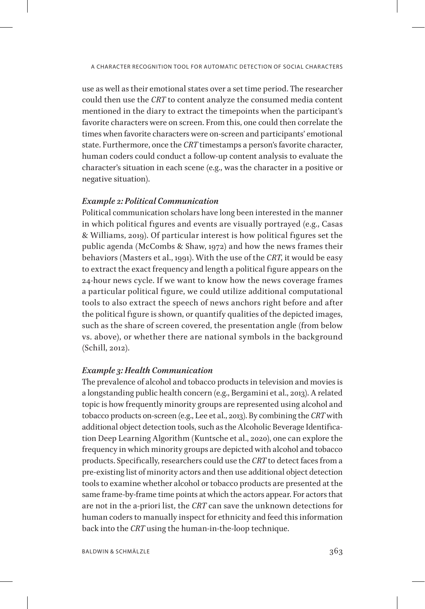use as well as their emotional states over a set time period. The researcher could then use the *CRT* to content analyze the consumed media content mentioned in the diary to extract the timepoints when the participant's favorite characters were on screen. From this, one could then correlate the times when favorite characters were on-screen and participants' emotional state. Furthermore, once the *CRT* timestamps a person's favorite character, human coders could conduct a follow-up content analysis to evaluate the character's situation in each scene (e.g., was the character in a positive or negative situation).

## *Example 2: Political Communication*

Political communication scholars have long been interested in the manner in which political figures and events are visually portrayed (e.g., Casas & Williams, 2019). Of particular interest is how political figures set the public agenda (McCombs & Shaw, 1972) and how the news frames their behaviors (Masters et al., 1991). With the use of the *CRT*, it would be easy to extract the exact frequency and length a political figure appears on the 24-hour news cycle. If we want to know how the news coverage frames a particular political figure, we could utilize additional computational tools to also extract the speech of news anchors right before and after the political figure is shown, or quantify qualities of the depicted images, such as the share of screen covered, the presentation angle (from below vs. above), or whether there are national symbols in the background (Schill, 2012).

## *Example 3: Health Communication*

The prevalence of alcohol and tobacco products in television and movies is a longstanding public health concern (e.g., Bergamini et al., 2013). A related topic is how frequently minority groups are represented using alcohol and tobacco products on-screen (e.g., Lee et al., 2013). By combining the *CRT* with additional object detection tools, such as the Alcoholic Beverage Identification Deep Learning Algorithm (Kuntsche et al., 2020), one can explore the frequency in which minority groups are depicted with alcohol and tobacco products. Specifically, researchers could use the *CRT* to detect faces from a pre-existing list of minority actors and then use additional object detection tools to examine whether alcohol or tobacco products are presented at the same frame-by-frame time points at which the actors appear. For actors that are not in the a-priori list, the *CRT* can save the unknown detections for human coders to manually inspect for ethnicity and feed this information back into the *CRT* using the human-in-the-loop technique.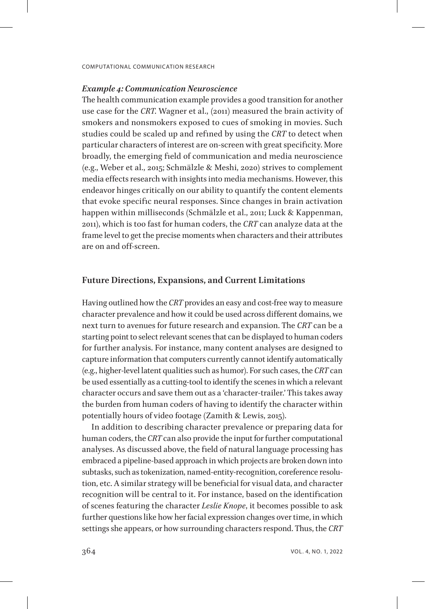### *Example 4: Communication Neuroscience*

The health communication example provides a good transition for another use case for the *CRT*. Wagner et al., (2011) measured the brain activity of smokers and nonsmokers exposed to cues of smoking in movies. Such studies could be scaled up and refined by using the *CRT* to detect when particular characters of interest are on-screen with great specificity. More broadly, the emerging field of communication and media neuroscience (e.g., Weber et al., 2015; Schmälzle & Meshi, 2020) strives to complement media effects research with insights into media mechanisms. However, this endeavor hinges critically on our ability to quantify the content elements that evoke specific neural responses. Since changes in brain activation happen within milliseconds (Schmälzle et al., 2011; Luck & Kappenman, 2011), which is too fast for human coders, the *CRT* can analyze data at the frame level to get the precise moments when characters and their attributes are on and off-screen.

### **Future Directions, Expansions, and Current Limitations**

Having outlined how the *CRT* provides an easy and cost-free way to measure character prevalence and how it could be used across different domains, we next turn to avenues for future research and expansion. The *CRT* can be a starting point to select relevant scenes that can be displayed to human coders for further analysis. For instance, many content analyses are designed to capture information that computers currently cannot identify automatically (e.g., higher-level latent qualities such as humor). For such cases, the *CRT* can be used essentially as a cutting-tool to identify the scenes in which a relevant character occurs and save them out as a 'character-trailer.' This takes away the burden from human coders of having to identify the character within potentially hours of video footage (Zamith & Lewis, 2015).

In addition to describing character prevalence or preparing data for human coders, the *CRT* can also provide the input for further computational analyses. As discussed above, the field of natural language processing has embraced a pipeline-based approach in which projects are broken down into subtasks, such as tokenization, named-entity-recognition, coreference resolution, etc. A similar strategy will be beneficial for visual data, and character recognition will be central to it. For instance, based on the identification of scenes featuring the character *Leslie Knope*, it becomes possible to ask further questions like how her facial expression changes over time, in which settings she appears, or how surrounding characters respond. Thus, the *CRT*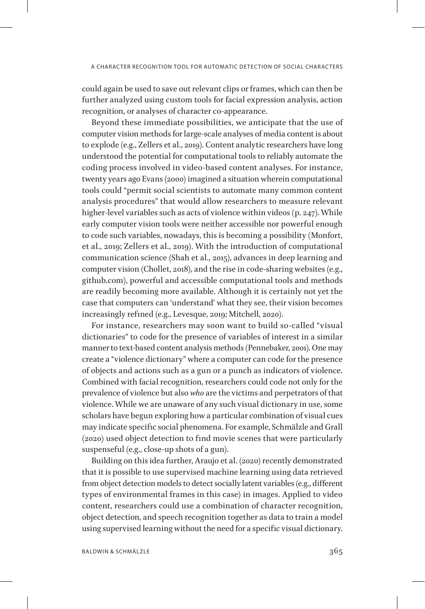could again be used to save out relevant clips or frames, which can then be further analyzed using custom tools for facial expression analysis, action recognition, or analyses of character co-appearance.

Beyond these immediate possibilities, we anticipate that the use of computer vision methods for large-scale analyses of media content is about to explode (e.g., Zellers et al., 2019). Content analytic researchers have long understood the potential for computational tools to reliably automate the coding process involved in video-based content analyses. For instance, twenty years ago Evans (2000) imagined a situation wherein computational tools could "permit social scientists to automate many common content analysis procedures" that would allow researchers to measure relevant higher-level variables such as acts of violence within videos (p. 247). While early computer vision tools were neither accessible nor powerful enough to code such variables, nowadays, this is becoming a possibility (Monfort, et al., 2019; Zellers et al., 2019). With the introduction of computational communication science (Shah et al., 2015), advances in deep learning and computer vision (Chollet, 2018), and the rise in code-sharing websites (e.g., github.com), powerful and accessible computational tools and methods are readily becoming more available. Although it is certainly not yet the case that computers can 'understand' what they see, their vision becomes increasingly refined (e.g., Levesque, 2019; Mitchell, 2020).

For instance, researchers may soon want to build so-called "visual dictionaries" to code for the presence of variables of interest in a similar manner to text-based content analysis methods (Pennebaker, 2001). One may create a "violence dictionary" where a computer can code for the presence of objects and actions such as a gun or a punch as indicators of violence. Combined with facial recognition, researchers could code not only for the prevalence of violence but also *who* are the victims and perpetrators of that violence. While we are unaware of any such visual dictionary in use, some scholars have begun exploring how a particular combination of visual cues may indicate specific social phenomena. For example, Schmälzle and Grall (2020) used object detection to find movie scenes that were particularly suspenseful (e.g., close-up shots of a gun).

Building on this idea further, Araujo et al. (2020) recently demonstrated that it is possible to use supervised machine learning using data retrieved from object detection models to detect socially latent variables (e.g., different types of environmental frames in this case) in images. Applied to video content, researchers could use a combination of character recognition, object detection, and speech recognition together as data to train a model using supervised learning without the need for a specific visual dictionary.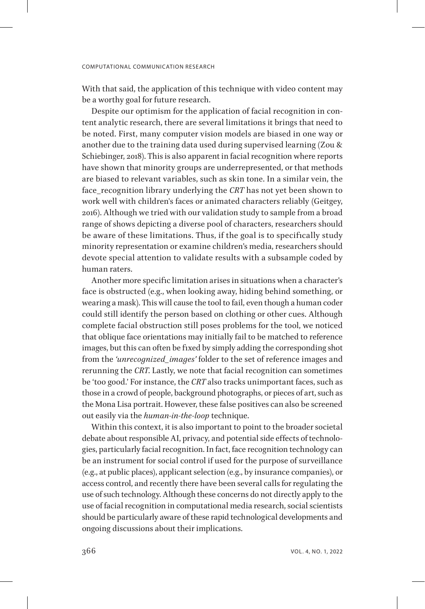With that said, the application of this technique with video content may be a worthy goal for future research.

Despite our optimism for the application of facial recognition in content analytic research, there are several limitations it brings that need to be noted. First, many computer vision models are biased in one way or another due to the training data used during supervised learning (Zou & Schiebinger, 2018). This is also apparent in facial recognition where reports have shown that minority groups are underrepresented, or that methods are biased to relevant variables, such as skin tone. In a similar vein, the face recognition library underlying the *CRT* has not yet been shown to work well with children's faces or animated characters reliably (Geitgey, 2016). Although we tried with our validation study to sample from a broad range of shows depicting a diverse pool of characters, researchers should be aware of these limitations. Thus, if the goal is to specifically study minority representation or examine children's media, researchers should devote special attention to validate results with a subsample coded by human raters.

Another more specific limitation arises in situations when a character's face is obstructed (e.g., when looking away, hiding behind something, or wearing a mask). This will cause the tool to fail, even though a human coder could still identify the person based on clothing or other cues. Although complete facial obstruction still poses problems for the tool, we noticed that oblique face orientations may initially fail to be matched to reference images, but this can often be fixed by simply adding the corresponding shot from the *'unrecognized\_images'* folder to the set of reference images and rerunning the *CRT*. Lastly, we note that facial recognition can sometimes be 'too good.' For instance, the *CRT* also tracks unimportant faces, such as those in a crowd of people, background photographs, or pieces of art, such as the Mona Lisa portrait. However, these false positives can also be screened out easily via the *human-in-the-loop* technique.

Within this context, it is also important to point to the broader societal debate about responsible AI, privacy, and potential side effects of technologies, particularly facial recognition. In fact, face recognition technology can be an instrument for social control if used for the purpose of surveillance (e.g., at public places), applicant selection (e.g., by insurance companies), or access control, and recently there have been several calls for regulating the use of such technology. Although these concerns do not directly apply to the use of facial recognition in computational media research, social scientists should be particularly aware of these rapid technological developments and ongoing discussions about their implications.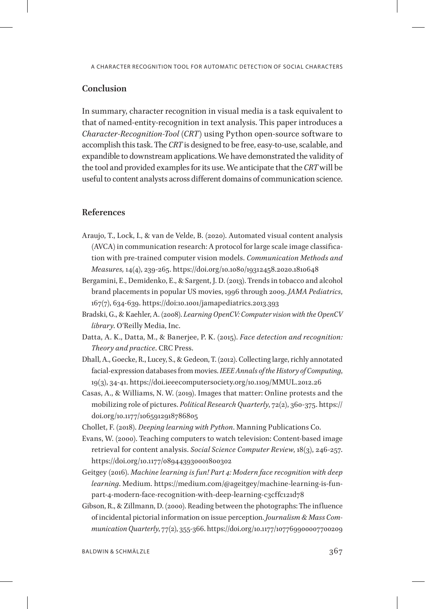# **Conclusion**

In summary, character recognition in visual media is a task equivalent to that of named-entity-recognition in text analysis. This paper introduces a *Character-Recognition-Tool* (*CRT*) using Python open-source software to accomplish this task. The *CRT* is designed to be free, easy-to-use, scalable, and expandible to downstream applications. We have demonstrated the validity of the tool and provided examples for its use. We anticipate that the *CRT* will be useful to content analysts across different domains of communication science.

# **References**

- Araujo, T., Lock, I., & van de Velde, B. (2020). Automated visual content analysis (AVCA) in communication research: A protocol for large scale image classification with pre-trained computer vision models. *Communication Methods and Measures,* 14(4), 239-265. https://doi.org/10.1080/19312458.2020.1810648
- Bergamini, E., Demidenko, E., & Sargent, J. D. (2013). Trends in tobacco and alcohol brand placements in popular US movies, 1996 through 2009. *JAMA Pediatrics*, 167(7), 634-639. https://doi:10.1001/jamapediatrics.2013.393
- Bradski, G., & Kaehler, A. (2008). *Learning OpenCV: Computer vision with the OpenCV library*. O'Reilly Media, Inc.
- Datta, A. K., Datta, M., & Banerjee, P. K. (2015). *Face detection and recognition: Theory and practice*. CRC Press.
- Dhall, A., Goecke, R., Lucey, S., & Gedeon, T. (2012). Collecting large, richly annotated facial-expression databases from movies. *IEEE Annals of the History of Computing*, 19(3), 34-41. https://doi.ieeecomputersociety.org/10.1109/MMUL.2012.26
- Casas, A., & Williams, N. W. (2019). Images that matter: Online protests and the mobilizing role of pictures. *Political Research Quarterly*, 72(2), 360-375. https:// doi.org/10.1177/1065912918786805
- Chollet, F. (2018). *Deeping learning with Python*. Manning Publications Co.
- Evans, W. (2000). Teaching computers to watch television: Content-based image retrieval for content analysis. *Social Science Computer Review*, 18(3), 246-257. https://doi.org/10.1177/089443930001800302
- Geitgey (2016). *Machine learning is fun! Part 4: Modern face recognition with deep learning*. Medium. https://medium.com/@ageitgey/machine-learning-is-funpart-4-modern-face-recognition-with-deep-learning-c3cffc121d78
- Gibson, R., & Zillmann, D. (2000). Reading between the photographs: The influence of incidental pictorial information on issue perception. *Journalism & Mass Communication Quarterly*, 77(2), 355-366. https://doi.org/10.1177/107769900007700209

BALDWIN & SCHMÄLZLE 367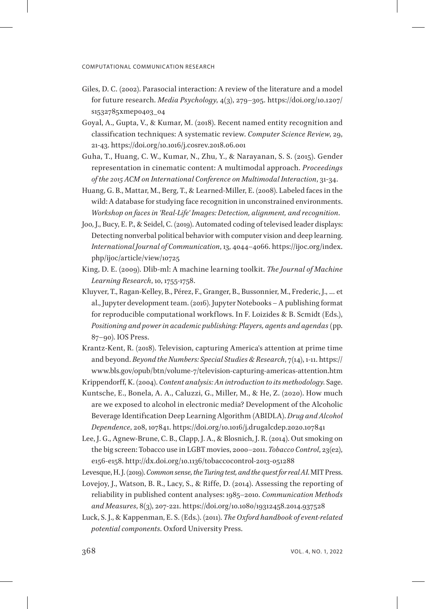- Giles, D. C. (2002). Parasocial interaction: A review of the literature and a model for future research. *Media Psychology*, 4(3), 279–305. https://doi.org/10.1207/ s1532785xmep0403\_04
- Goyal, A., Gupta, V., & Kumar, M. (2018). Recent named entity recognition and classification techniques: A systematic review. *Computer Science Review*, 29, 21-43. https://doi.org/10.1016/j.cosrev.2018.06.001
- Guha, T., Huang, C. W., Kumar, N., Zhu, Y., & Narayanan, S. S. (2015). Gender representation in cinematic content: A multimodal approach. *Proceedings of the 2015 ACM on International Conference on Multimodal Interaction*, 31-34.
- Huang, G. B., Mattar, M., Berg, T., & Learned-Miller, E. (2008). Labeled faces in the wild: A database for studying face recognition in unconstrained environments. *Workshop on faces in 'Real-Life' Images: Detection, alignment, and recognition*.
- Joo, J., Bucy, E. P., & Seidel, C. (2019). Automated coding of televised leader displays: Detecting nonverbal political behavior with computer vision and deep learning. *International Journal of Communication*, 13, 4044–4066. https://ijoc.org/index. php/ijoc/article/view/10725
- King, D. E. (2009). Dlib-ml: A machine learning toolkit. *The Journal of Machine Learning Research*, 10, 1755-1758.
- Kluyver, T., Ragan-Kelley, B., Pérez, F., Granger, B., Bussonnier, M., Frederic, J., … et al., Jupyter development team. (2016). Jupyter Notebooks – A publishing format for reproducible computational workflows. In F. Loizides & B. Scmidt (Eds.), *Positioning and power in academic publishing: Players, agents and agendas* (pp. 87–90). IOS Press.
- Krantz-Kent, R. (2018). Television, capturing America's attention at prime time and beyond. *Beyond the Numbers: Special Studies & Research*, 7(14), 1-11. https:// www.bls.gov/opub/btn/volume-7/television-capturing-americas-attention.htm

Krippendorff, K. (2004). *Content analysis: An introduction to its methodology*. Sage.

- Kuntsche, E., Bonela, A. A., Caluzzi, G., Miller, M., & He, Z. (2020). How much are we exposed to alcohol in electronic media? Development of the Alcoholic Beverage Identification Deep Learning Algorithm (ABIDLA). *Drug and Alcohol Dependence*, 208, 107841. https://doi.org/10.1016/j.drugalcdep.2020.107841
- Lee, J. G., Agnew-Brune, C. B., Clapp, J. A., & Blosnich, J. R. (2014). Out smoking on the big screen: Tobacco use in LGBT movies, 2000–2011. *Tobacco Control*, 23(e2), e156-e158. http://dx.doi.org/10.1136/tobaccocontrol-2013-051288

Levesque, H. J. (2019). *Common sense, the Turing test, and the quest for real AI*. MIT Press.

- Lovejoy, J., Watson, B. R., Lacy, S., & Riffe, D. (2014). Assessing the reporting of reliability in published content analyses: 1985–2010. *Communication Methods and Measures*, 8(3), 207-221. https://doi.org/10.1080/19312458.2014.937528
- Luck, S. J., & Kappenman, E. S. (Eds.). (2011). *The Oxford handbook of event-related potential components*. Oxford University Press.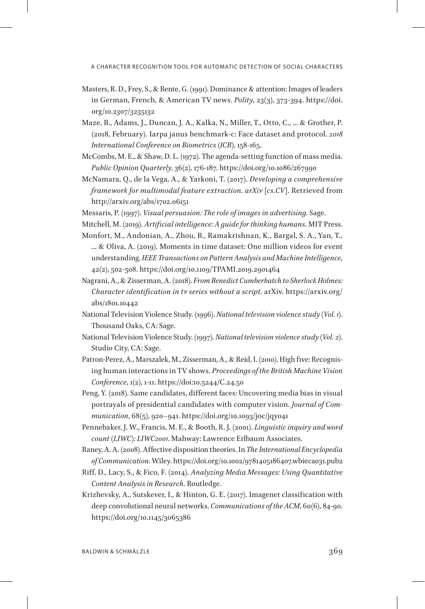A CHARACTER RECOGNITION TOOL FOR AUTOMATIC DETECTION OF SOCIAL CHARACTERS

- Masters, R. D., Frey, S., & Bente, G. (1991). Dominance & attention: Images of leaders in German, French, & American TV news. *Polity*, 23(3), 373-394. https://doi. org/10.2307/3235132
- Maze, B., Adams, J., Duncan, J. A., Kalka, N., Miller, T., Otto, C., ... & Grother, P. (2018, February). Iarpa janus benchmark-c: Face dataset and protocol. *2018 International Conference on Biometrics (ICB)*, 158-165.
- McCombs, M. E., & Shaw, D. L. (1972). The agenda-setting function of mass media. *Public Opinion Quarterly*, 36(2), 176-187. https://doi.org/10.1086/267990
- McNamara, Q., de la Vega, A., & Yarkoni, T. (2017). *Developing a comprehensive framework for multimodal feature extraction. arXiv [cs.CV]*. Retrieved from http://arxiv.org/abs/1702.06151
- Messaris, P. (1997). *Visual persuasion: The role of images in advertising*. Sage.

Mitchell, M. (2019). *Artificial intelligence: A guide for thinking humans*. MIT Press.

- Monfort, M., Andonian, A., Zhou, B., Ramakrishnan, K., Bargal, S. A., Yan, T., ... & Oliva, A. (2019). Moments in time dataset: One million videos for event understanding. *IEEE Transactions on Pattern Analysis and Machine Intelligence*, 42(2), 502-508. https://doi.org/10.1109/TPAMI.2019.2901464
- Nagrani, A., & Zisserman, A. (2018). *From Benedict Cumberbatch to Sherlock Holmes: Character identification in tv series without a script*. arXiv. https://arxiv.org/ abs/1801.10442
- National Television Violence Study. (1996). *National television violence study (Vol. 1)*. Thousand Oaks, CA: Sage.
- National Television Violence Study. (1997). *National television violence study (Vol. 2)*. Studio City, CA: Sage.
- Patron-Perez, A., Marszalek, M., Zisserman, A., & Reid, I. (2010). High five: Recognising human interactions in TV shows. *Proceedings of the British Machine Vision Conference*, 1(2), 1-11. https://doi:10.5244/C.24.50
- Peng, Y. (2018). Same candidates, different faces: Uncovering media bias in visual portrayals of presidential candidates with computer vision. *Journal of Communication*, 68(5), 920–941. https://doi.org/10.1093/joc/jqy041
- Pennebaker, J. W., Francis, M. E., & Booth, R. J. (2001). *Linguistic inquiry and word count (LIWC): LIWC2001*. Mahway: Lawrence Erlbaum Associates.
- Raney, A. A. (2008). Affective disposition theories. In *The International Encyclopedia of Communication*. Wiley. https://doi.org/10.1002/9781405186407.wbieca031.pub2
- Riff, D., Lacy, S., & Fico, F. (2014). *Analyzing Media Messages: Using Quantitative Content Analysis in Research*. Routledge.
- Krizhevsky, A., Sutskever, I., & Hinton, G. E. (2017). Imagenet classification with deep convolutional neural networks. *Communications of the ACM*, 60(6), 84-90. https://doi.org/10.1145/3065386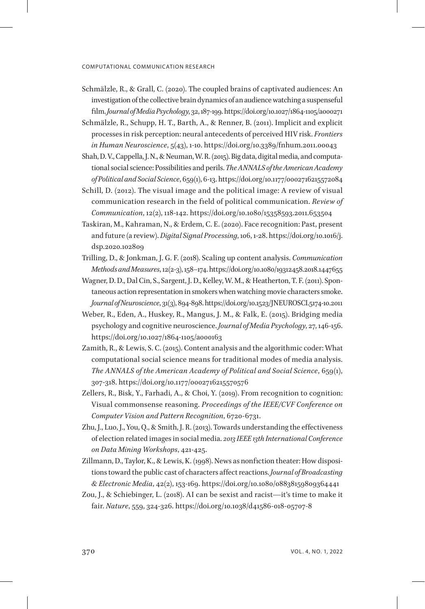- Schmälzle, R., & Grall, C. (2020). The coupled brains of captivated audiences: An investigation of the collective brain dynamics of an audience watching a suspenseful film. *Journal of Media Psychology*, 32, 187-199. https://doi.org/10.1027/1864-1105/a000271
- Schmälzle, R., Schupp, H. T., Barth, A., & Renner, B. (2011). Implicit and explicit processes in risk perception: neural antecedents of perceived HIV risk. *Frontiers in Human Neuroscience*, 5(43), 1-10. https://doi.org/10.3389/fnhum.2011.00043
- Shah, D. V., Cappella, J. N., & Neuman, W. R. (2015). Big data, digital media, and computational social science: Possibilities and perils. *The ANNALS of the American Academy of Political and Social Science*, 659(1), 6-13. https://doi.org/10.1177/0002716215572084
- Schill, D. (2012). The visual image and the political image: A review of visual communication research in the field of political communication. *Review of Communication*, 12(2), 118-142. https://doi.org/10.1080/15358593.2011.653504
- Taskiran, M., Kahraman, N., & Erdem, C. E. (2020). Face recognition: Past, present and future (a review). *Digital Signal Processing*, 106, 1-28. https://doi.org/10.1016/j. dsp.2020.102809
- Trilling, D., & Jonkman, J. G. F. (2018). Scaling up content analysis. *Communication Methods and Measures*, 12(2-3), 158–174. https://doi.org/10.1080/19312458.2018.1447655
- Wagner, D. D., Dal Cin, S., Sargent, J. D., Kelley, W. M., & Heatherton, T. F. (2011). Spontaneous action representation in smokers when watching movie characters smoke. *Journal of Neuroscience*, 31(3), 894-898. https://doi.org/10.1523/JNEUROSCI.5174-10.2011
- Weber, R., Eden, A., Huskey, R., Mangus, J. M., & Falk, E. (2015). Bridging media psychology and cognitive neuroscience. *Journal of Media Psychology*, 27, 146-156. https://doi.org/10.1027/1864-1105/a000163
- Zamith, R., & Lewis, S. C. (2015). Content analysis and the algorithmic coder: What computational social science means for traditional modes of media analysis. *The ANNALS of the American Academy of Political and Social Science*, 659(1), 307-318. https://doi.org/10.1177/0002716215570576
- Zellers, R., Bisk, Y., Farhadi, A., & Choi, Y. (2019). From recognition to cognition: Visual commonsense reasoning. *Proceedings of the IEEE/CVF Conference on Computer Vision and Pattern Recognition*, 6720-6731.
- Zhu, J., Luo, J., You, Q., & Smith, J. R. (2013). Towards understanding the effectiveness of election related images in social media. *2013 IEEE 13th International Conference on Data Mining Workshops*, 421-425.
- Zillmann, D., Taylor, K., & Lewis, K. (1998). News as nonfiction theater: How dispositions toward the public cast of characters affect reactions. *Journal of Broadcasting & Electronic Media*, 42(2), 153-169. https://doi.org/10.1080/08838159809364441
- Zou, J., & Schiebinger, L. (2018). AI can be sexist and racist—it's time to make it fair. *Nature*, 559, 324-326. https://doi.org/10.1038/d41586-018-05707-8